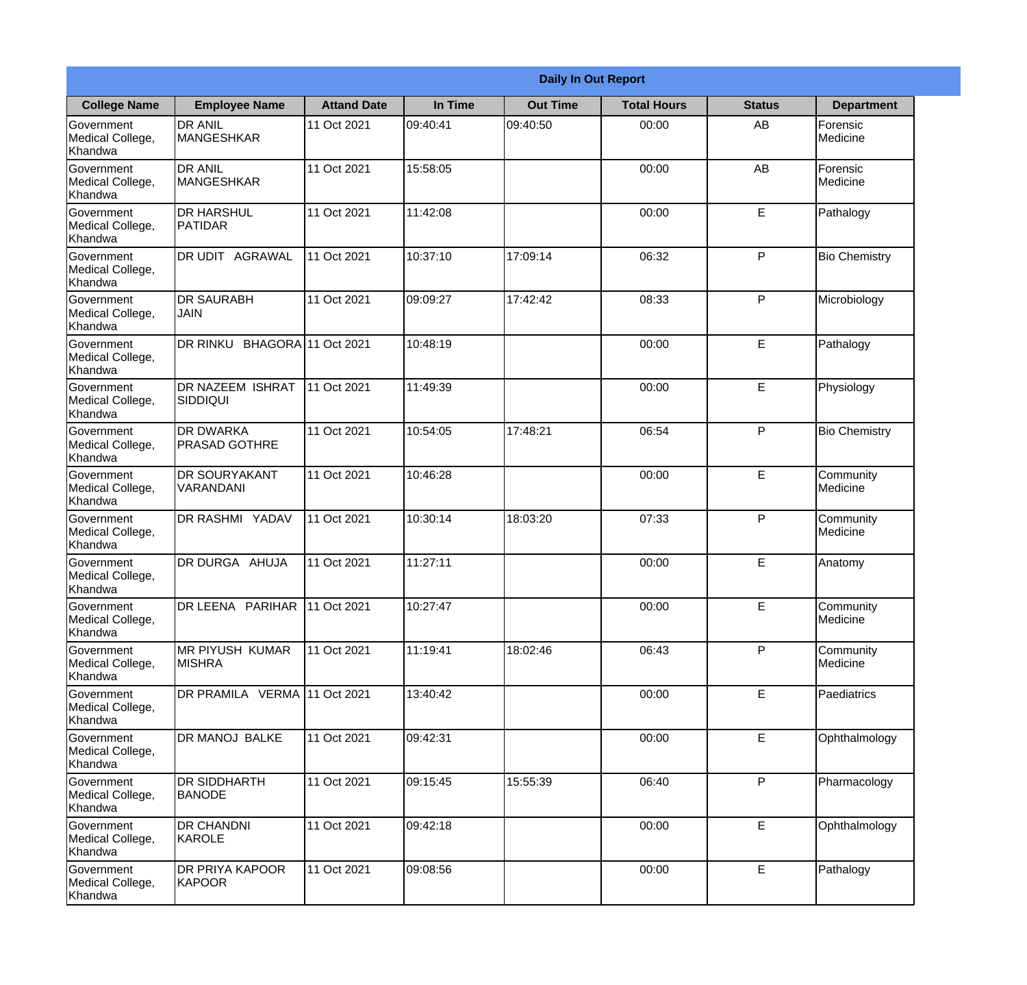| <b>Daily In Out Report</b>                       |                                          |                    |          |                 |                    |               |                       |
|--------------------------------------------------|------------------------------------------|--------------------|----------|-----------------|--------------------|---------------|-----------------------|
| <b>College Name</b>                              | <b>Employee Name</b>                     | <b>Attand Date</b> | In Time  | <b>Out Time</b> | <b>Total Hours</b> | <b>Status</b> | <b>Department</b>     |
| Government<br>Medical College,<br>Khandwa        | <b>DR ANIL</b><br><b>MANGESHKAR</b>      | 11 Oct 2021        | 09:40:41 | 09:40:50        | 00:00              | AB            | Forensic<br>Medicine  |
| Government<br>Medical College,<br>Khandwa        | <b>DR ANIL</b><br><b>MANGESHKAR</b>      | 11 Oct 2021        | 15:58:05 |                 | 00:00              | AB            | Forensic<br>Medicine  |
| <b>Government</b><br>Medical College,<br>Khandwa | <b>DR HARSHUL</b><br>PATIDAR             | 11 Oct 2021        | 11:42:08 |                 | 00:00              | E             | Pathalogy             |
| <b>Government</b><br>Medical College,<br>Khandwa | <b>DR UDIT AGRAWAL</b>                   | 11 Oct 2021        | 10:37:10 | 17:09:14        | 06:32              | P             | <b>Bio Chemistry</b>  |
| Government<br>Medical College,<br>Khandwa        | <b>DR SAURABH</b><br><b>JAIN</b>         | 11 Oct 2021        | 09:09:27 | 17:42:42        | 08:33              | P             | Microbiology          |
| Government<br>Medical College,<br>Khandwa        | DR RINKU BHAGORA 11 Oct 2021             |                    | 10:48:19 |                 | 00:00              | $\mathsf E$   | Pathalogy             |
| <b>Government</b><br>Medical College,<br>Khandwa | DR NAZEEM ISHRAT<br> SIDDIQUI            | 11 Oct 2021        | 11:49:39 |                 | 00:00              | E             | Physiology            |
| <b>Government</b><br>Medical College,<br>Khandwa | <b>DR DWARKA</b><br><b>PRASAD GOTHRE</b> | 11 Oct 2021        | 10:54:05 | 17:48:21        | 06:54              | P             | <b>Bio Chemistry</b>  |
| Government<br>Medical College,<br>Khandwa        | <b>DR SOURYAKANT</b><br>VARANDANI        | 11 Oct 2021        | 10:46:28 |                 | 00:00              | E             | Community<br>Medicine |
| Government<br>Medical College,<br>Khandwa        | DR RASHMI YADAV                          | 11 Oct 2021        | 10:30:14 | 18:03:20        | 07:33              | P             | Community<br>Medicine |
| Government<br>Medical College,<br>Khandwa        | <b>IDR DURGA AHUJA</b>                   | 11 Oct 2021        | 11:27:11 |                 | 00:00              | E             | Anatomy               |
| Government<br>Medical College,<br>Khandwa        | DR LEENA PARIHAR 11 Oct 2021             |                    | 10:27:47 |                 | 00:00              | E             | Community<br>Medicine |
| Government<br>Medical College,<br>Khandwa        | <b>MR PIYUSH KUMAR</b><br><b>MISHRA</b>  | 11 Oct 2021        | 11:19:41 | 18:02:46        | 06:43              | P             | Community<br>Medicine |
| Government<br>Medical College,<br>Khandwa        | DR PRAMILA VERMA 11 Oct 2021             |                    | 13:40:42 |                 | 00:00              | $\mathsf E$   | Paediatrics           |
| Government<br>Medical College,<br>Khandwa        | DR MANOJ BALKE                           | 11 Oct 2021        | 09:42:31 |                 | 00:00              | E             | Ophthalmology         |
| Government<br>Medical College,<br>Khandwa        | <b>DR SIDDHARTH</b><br><b>BANODE</b>     | 11 Oct 2021        | 09:15:45 | 15:55:39        | 06:40              | P             | Pharmacology          |
| Government<br>Medical College,<br>Khandwa        | <b>DR CHANDNI</b><br>KAROLE              | 11 Oct 2021        | 09:42:18 |                 | 00:00              | E             | Ophthalmology         |
| Government<br>Medical College,<br>Khandwa        | <b>DR PRIYA KAPOOR</b><br>KAPOOR         | 11 Oct 2021        | 09:08:56 |                 | 00:00              | $\mathsf E$   | Pathalogy             |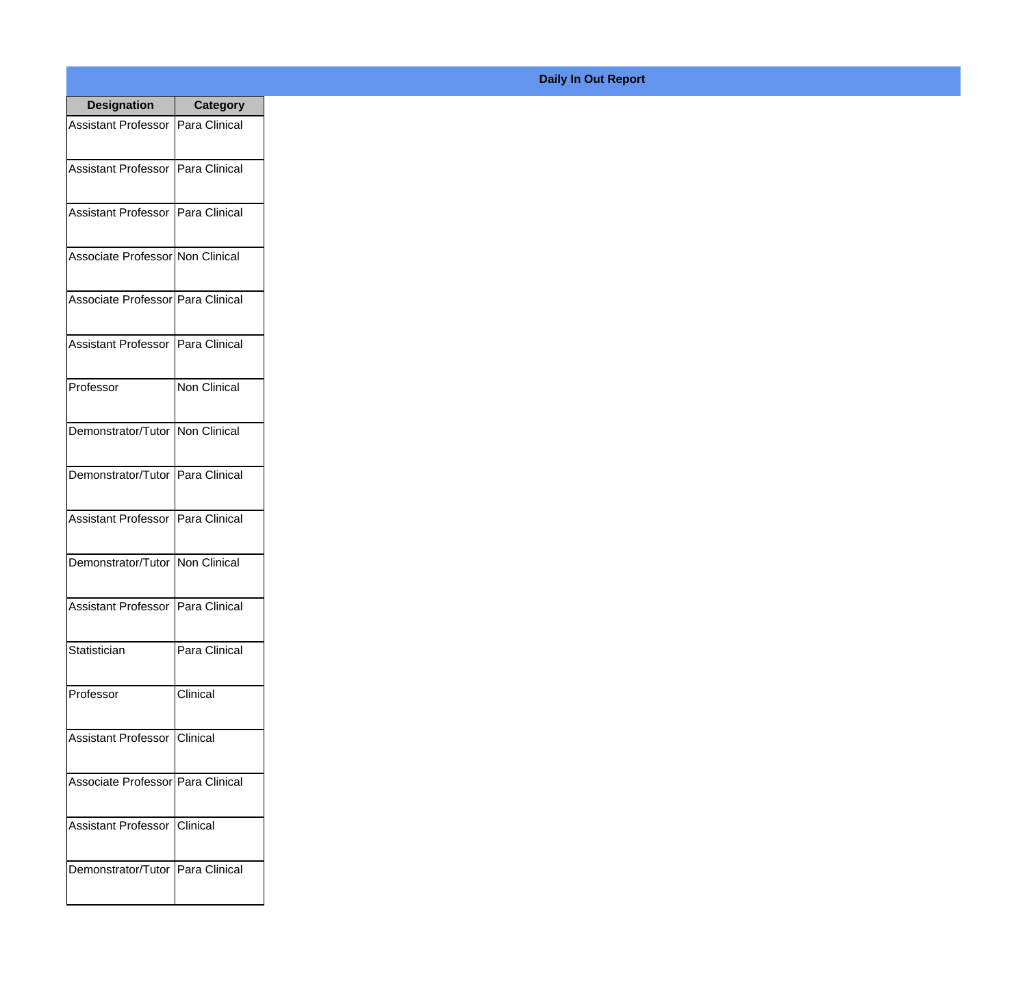| <b>Designation</b>                  | <b>Category</b> |
|-------------------------------------|-----------------|
| Assistant Professor   Para Clinical |                 |
| Assistant Professor   Para Clinical |                 |
| Assistant Professor   Para Clinical |                 |
| Associate Professor Non Clinical    |                 |
| Associate Professor Para Clinical   |                 |
| Assistant Professor   Para Clinical |                 |
| Professor                           | Non Clinical    |
| Demonstrator/Tutor   Non Clinical   |                 |
| Demonstrator/Tutor   Para Clinical  |                 |
| <b>Assistant Professor</b>          | Para Clinical   |
| Demonstrator/Tutor   Non Clinical   |                 |
| Assistant Professor   Para Clinical |                 |
| Statistician                        | Para Clinical   |
| Professor                           | Clinical        |
| Assistant Professor   Clinical      |                 |
| Associate Professor Para Clinical   |                 |
| <b>Assistant Professor</b>          | Clinical        |
| Demonstrator/Tutor   Para Clinical  |                 |

## **Daily In Out Report**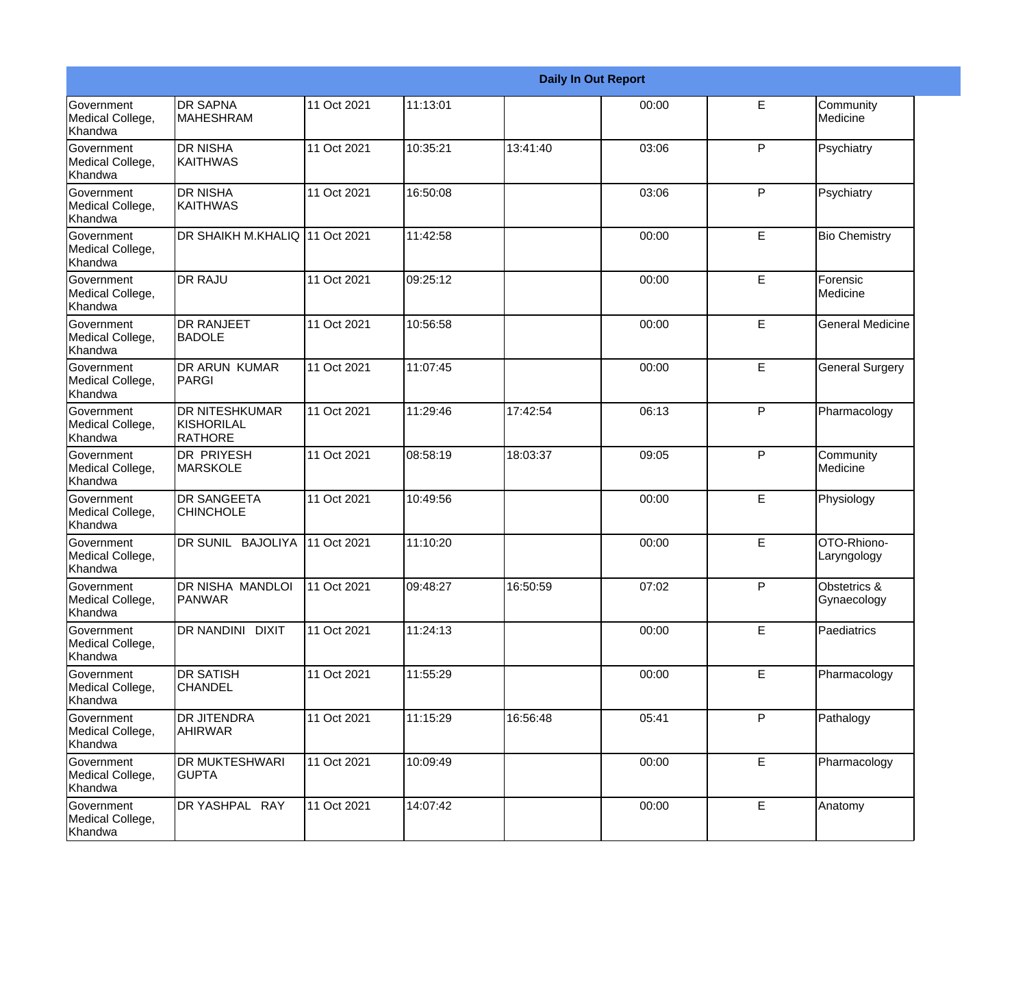|                                                  |                                                       |             |          |          | <b>Daily In Out Report</b> |             |                             |
|--------------------------------------------------|-------------------------------------------------------|-------------|----------|----------|----------------------------|-------------|-----------------------------|
| <b>Government</b><br>Medical College,<br>Khandwa | <b>DR SAPNA</b><br><b>MAHESHRAM</b>                   | 11 Oct 2021 | 11:13:01 |          | 00:00                      | E           | Community<br>Medicine       |
| Government<br>Medical College,<br>Khandwa        | <b>DR NISHA</b><br>KAITHWAS                           | 11 Oct 2021 | 10:35:21 | 13:41:40 | 03:06                      | P           | Psychiatry                  |
| Government<br>Medical College,<br>Khandwa        | <b>DR NISHA</b><br>KAITHWAS                           | 11 Oct 2021 | 16:50:08 |          | 03:06                      | P           | Psychiatry                  |
| Government<br>Medical College,<br>Khandwa        | DR SHAIKH M.KHALIQ 11 Oct 2021                        |             | 11:42:58 |          | 00:00                      | E           | <b>Bio Chemistry</b>        |
| Government<br>Medical College,<br>Khandwa        | <b>DR RAJU</b>                                        | 11 Oct 2021 | 09:25:12 |          | 00:00                      | E           | Forensic<br>Medicine        |
| Government<br>Medical College,<br>Khandwa        | <b>DR RANJEET</b><br><b>BADOLE</b>                    | 11 Oct 2021 | 10:56:58 |          | 00:00                      | E           | <b>General Medicine</b>     |
| Government<br>Medical College,<br>Khandwa        | <b>DR ARUN KUMAR</b><br>PARGI                         | 11 Oct 2021 | 11:07:45 |          | 00:00                      | E           | <b>General Surgery</b>      |
| Government<br>Medical College,<br>Khandwa        | <b>DR NITESHKUMAR</b><br>KISHORILAL<br><b>RATHORE</b> | 11 Oct 2021 | 11:29:46 | 17:42:54 | 06:13                      | P           | Pharmacology                |
| <b>Government</b><br>Medical College,<br>Khandwa | <b>DR PRIYESH</b><br><b>MARSKOLE</b>                  | 11 Oct 2021 | 08:58:19 | 18:03:37 | 09:05                      | P           | Community<br>Medicine       |
| Government<br>Medical College,<br>Khandwa        | <b>DR SANGEETA</b><br><b>CHINCHOLE</b>                | 11 Oct 2021 | 10:49:56 |          | 00:00                      | E           | Physiology                  |
| <b>Government</b><br>Medical College,<br>Khandwa | DR SUNIL BAJOLIYA                                     | 11 Oct 2021 | 11:10:20 |          | 00:00                      | E           | OTO-Rhiono-<br>Laryngology  |
| Government<br>Medical College,<br>Khandwa        | DR NISHA MANDLOI<br>PANWAR                            | 11 Oct 2021 | 09:48:27 | 16:50:59 | 07:02                      | P           | Obstetrics &<br>Gynaecology |
| Government<br>Medical College,<br>Khandwa        | DR NANDINI DIXIT                                      | 11 Oct 2021 | 11:24:13 |          | 00:00                      | E           | Paediatrics                 |
| Government<br>Medical College,<br>Khandwa        | <b>DR SATISH</b><br><b>CHANDEL</b>                    | 11 Oct 2021 | 11:55:29 |          | 00:00                      | E.          | Pharmacology                |
| Government<br>Medical College,<br>Khandwa        | <b>DR JITENDRA</b><br><b>AHIRWAR</b>                  | 11 Oct 2021 | 11:15:29 | 16:56:48 | 05:41                      | P           | Pathalogy                   |
| Government<br>Medical College,<br>Khandwa        | DR MUKTESHWARI<br><b>GUPTA</b>                        | 11 Oct 2021 | 10:09:49 |          | 00:00                      | E           | Pharmacology                |
| Government<br>Medical College,<br>Khandwa        | DR YASHPAL RAY                                        | 11 Oct 2021 | 14:07:42 |          | 00:00                      | $\mathsf E$ | Anatomy                     |